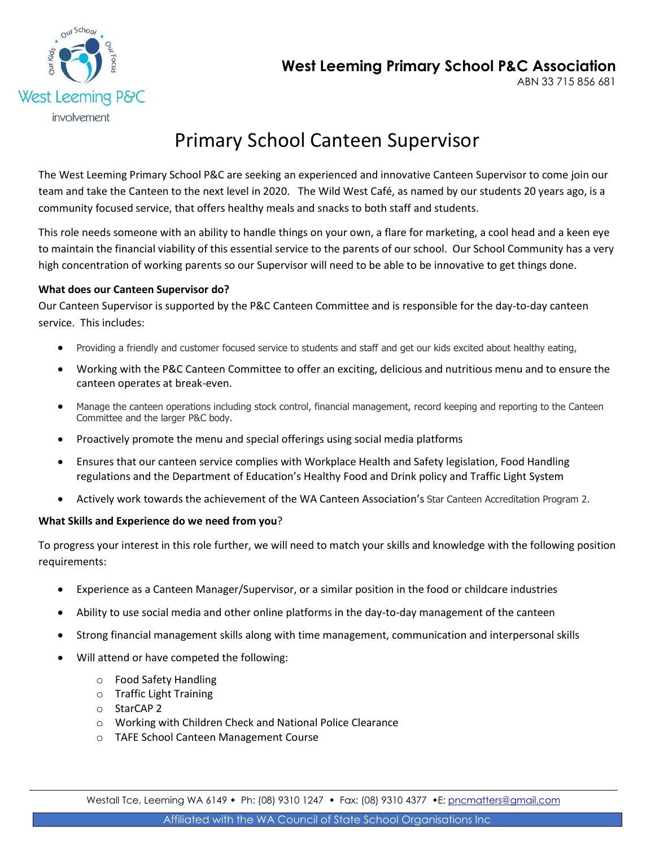



# Primary School Canteen Supervisor

The West Leeming Primary School P&C are seeking an experienced and innovative Canteen Supervisor to come join our team and take the Canteen to the next level in 2020. The Wild West Café, as named by our students 20 years ago, is a community focused service, that offers healthy meals and snacks to both staff and students.

This role needs someone with an ability to handle things on your own, a flare for marketing, a cool head and a keen eye to maintain the financial viability of this essential service to the parents of our school. Our School Community has a very high concentration of working parents so our Supervisor will need to be able to be innovative to get things done.

## **What does our Canteen Supervisor do?**

Our Canteen Supervisor is supported by the P&C Canteen Committee and is responsible for the day-to-day canteen service. This includes:

- Providing a friendly and customer focused service to students and staff and get our kids excited about healthy eating,
- Working with the P&C Canteen Committee to offer an exciting, delicious and nutritious menu and to ensure the canteen operates at break-even.
- Manage the canteen operations including stock control, financial management, record keeping and reporting to the Canteen Committee and the larger P&C body.
- Proactively promote the menu and special offerings using social media platforms
- Ensures that our canteen service complies with Workplace Health and Safety legislation, Food Handling regulations and the Department of Education's Healthy Food and Drink policy and Traffic Light System
- Actively work towards the achievement of the WA Canteen Association's Star Canteen Accreditation Program 2.

### **What Skills and Experience do we need from you**?

To progress your interest in this role further, we will need to match your skills and knowledge with the following position requirements:

- Experience as a Canteen Manager/Supervisor, or a similar position in the food or childcare industries
- Ability to use social media and other online platforms in the day-to-day management of the canteen
- Strong financial management skills along with time management, communication and interpersonal skills
- Will attend or have competed the following:
	- o Food Safety Handling
	- o Traffic Light Training
	- o StarCAP 2
	- o Working with Children Check and National Police Clearance
	- o TAFE School Canteen Management Course

Westall Tce, Leeming WA 6149 • Ph: (08) 9310 1247 • Fax: (08) 9310 4377 • E: [pncmatters@gmail.com](mailto:pncmatters@gmail.com)